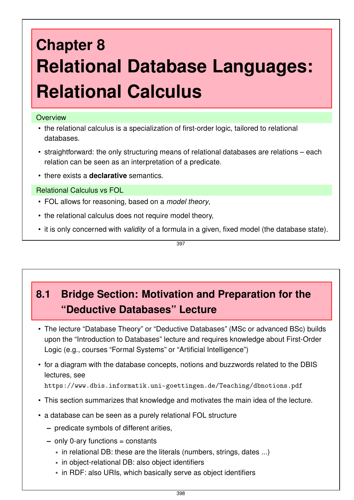# **Chapter 8 Relational Database Languages: Relational Calculus**

#### **Overview**

- the relational calculus is a specialization of first-order logic, tailored to relational databases.
- straightforward: the only structuring means of relational databases are relations each relation can be seen as an interpretation of a predicate.
- there exists a **declarative** semantics.

Relational Calculus vs FOL

- FOL allows for reasoning, based on a *model theory*,
- the relational calculus does not require model theory,
- it is only concerned with *validity* of a formula in a given, fixed model (the database state).

397

# **8.1 Bridge Section: Motivation and Preparation for the "Deductive Databases" Lecture**

- The lecture "Database Theory" or "Deductive Databases" (MSc or advanced BSc) builds upon the "Introduction to Databases" lecture and requires knowledge about First-Order Logic (e.g., courses "Formal Systems" or "Artificial Intelligence")
- for a diagram with the database concepts, notions and buzzwords related to the DBIS lectures, see https://www.dbis.informatik.uni-goettingen.de/Teaching/dbnotions.pdf
- This section summarizes that knowledge and motivates the main idea of the lecture.
- a database can be seen as a purely relational FOL structure
	- **–** predicate symbols of different arities,
	- **–** only 0-ary functions = constants
		- \* in relational DB: these are the literals (numbers, strings, dates ...)
		- \* in object-relational DB: also object identifiers
		- \* in RDF: also URIs, which basically serve as object identifiers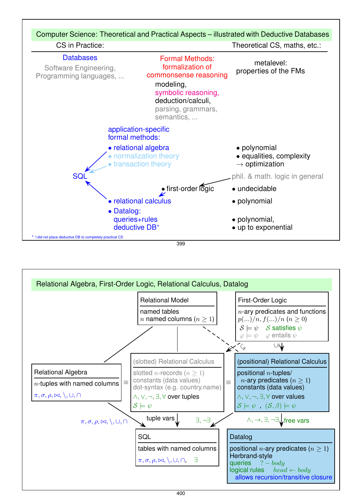

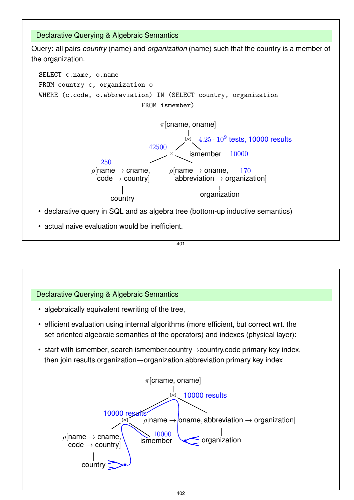

401

# Declarative Querying & Algebraic Semantics

- algebraically equivalent rewriting of the tree,
- efficient evaluation using internal algorithms (more efficient, but correct wrt. the set-oriented algebraic semantics of the operators) and indexes (physical layer):
- start with ismember, search ismember.country→country.code primary key index, then join results.organization→organization.abbreviation primary key index

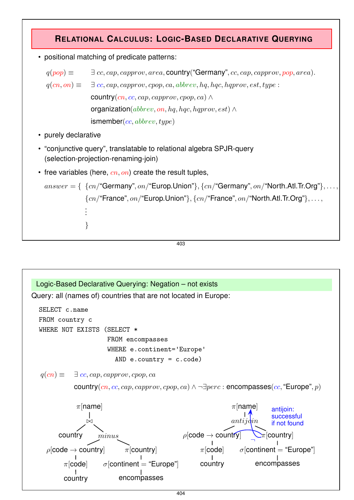## **RELATIONAL CALCULUS: LOGIC-BASED DECLARATIVE QUERYING**

• positional matching of predicate patterns:

 $q(pop) \equiv \exists cc, cap, capprov, area, country("Germany", cc, cap, capprov, pop, area).$  $q(cn, on) \equiv \exists cc, cap, capprov, copo, ca, abbrev, hq, hqc, hqprov, est, type:$ country(cn, cc, cap, capprov, cpop, ca)  $\wedge$ organization( $abbrew$ , on, hq, hqc, hqprov, est)  $\wedge$  $ismember(cc, abbrev, type)$ 

- purely declarative
- "conjunctive query", translatable to relational algebra SPJR-query (selection-projection-renaming-join)
- free variables (here,  $cn, on$ ) create the result tuples,

```
answer = \{ \\{cn\}"Germany", on / "Europ. Union"}, \{cn\}"Germany", on / "North. Atl. Tr. Org"}, ...
               {cn}"France", on / "Europ. Union" }, {cn} "France", on / "North. Atl. Tr. Org" }, . . . ,
               .
               .
               .
               }
```

```
403
```
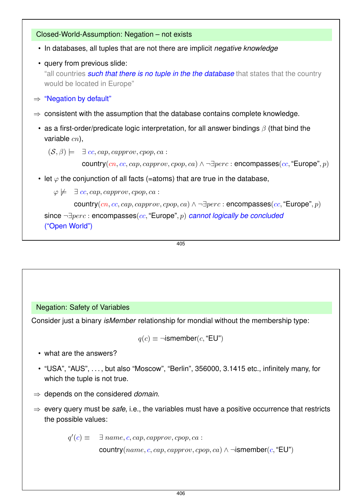#### Closed-World-Assumption: Negation – not exists

- In databases, all tuples that are not there are implicit *negative knowledge*
- query from previous slide: "all countries *such that there is no tuple in the the database* that states that the country would be located in Europe"
- $\Rightarrow$  "Negation by default"
- $\Rightarrow$  consistent with the assumption that the database contains complete knowledge.
	- as a first-order/predicate logic interpretation, for all answer bindings  $\beta$  (that bind the variable  $cn$ ),

 $(\mathcal{S}, \beta) \models \exists cc, cap, capprov, copo, ca:$ 

country $(cn, cc, cap, capprov, copp, ca) \wedge \neg \exists perc : encompasses(cc, "Europe", p)$ 

• let  $\varphi$  the conjunction of all facts (=atoms) that are true in the database,

 $\varphi \not\models \exists cc, cap, capprov, copp, ca :$ 

country $(cn, cc, cap, capprov, copp, ca) \wedge \neg \exists perc : encompasses(cc, "Europe", p)$ 

```
since ¬∃perc : encompasses(cc, "Europe", p) cannot logically be concluded
("Open World")
```
405

#### Negation: Safety of Variables

Consider just a binary *isMember* relationship for mondial without the membership type:

$$
q(c) \equiv \neg \mathsf{ismember}(c, \mathsf{``EU"})
$$

- what are the answers?
- "USA", "AUS", . . . , but also "Moscow", "Berlin", 356000, 3.1415 etc., infinitely many, for which the tuple is not true.
- ⇒ depends on the considered *domain*.
- ⇒ every query must be *safe*, i.e., the variables must have a positive occurrence that restricts the possible values:

 $q'(c) \equiv$  $\exists$  name, c, cap, capprov, cpop, ca :

country(name, c, cap, capprov, cpop, ca) ∧  $\neg$ ismember(c, "EU")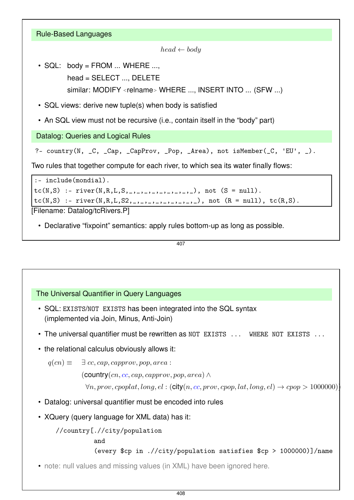| <b>Rule-Based Languages</b>                                                           |
|---------------------------------------------------------------------------------------|
| $head \leftarrow body$                                                                |
| • SQL: body = FROM  WHERE ,                                                           |
| head = SELECT , DELETE                                                                |
| similar: MODIFY <relname> WHERE , INSERT INTO  (SFW )</relname>                       |
| • SQL views: derive new tuple(s) when body is satisfied                               |
| • An SQL view must not be recursive (i.e., contain itself in the "body" part)         |
| Datalog: Queries and Logical Rules                                                    |
| ?- country(N, _C, _Cap, _CapProv, _Pop, _Area), not isMember(_C, 'EU', _).            |
| Two rules that together compute for each river, to which sea its water finally flows: |
| :- include(mondial).                                                                  |
| $tc(N, S)$ :- river(N,R,L,S, _,_,_,_,_,_,_,_,_,_), not (S = null).                    |
| $tc(N, S)$ :- river(N,R,L,S2,_,_,_,_,_,_,_,_,_,_), not (R = null), $tc(R, S)$ .       |
| [Filename: Datalog/tcRivers.P]                                                        |
| • Declarative "fixpoint" semantics: apply rules bottom-up as long as possible.        |
| 407                                                                                   |
|                                                                                       |

### The Universal Quantifier in Query Languages

- SQL: EXISTS/NOT EXISTS has been integrated into the SQL syntax (implemented via Join, Minus, Anti-Join)
- The universal quantifier must be rewritten as NOT EXISTS ... WHERE NOT EXISTS ...
- the relational calculus obviously allows it:

```
q(cn) \equiv \exists cc, cap, capprov, pop, area:
```
 $($  country $(cn, cc, cap, capprov, pop, area) \wedge$ 

```
\forall n, prov, copplat, long, el : (city(n, cc, prov, copp, lat, long, el) \rightarrow copp > 1000000)
```
- Datalog: universal quantifier must be encoded into rules
- XQuery (query language for XML data) has it:

//country[.//city/population

and

```
(every $cp in .//city/population satisfies $cp > 1000000)]/name
```
• note: null values and missing values (in XML) have been ignored here.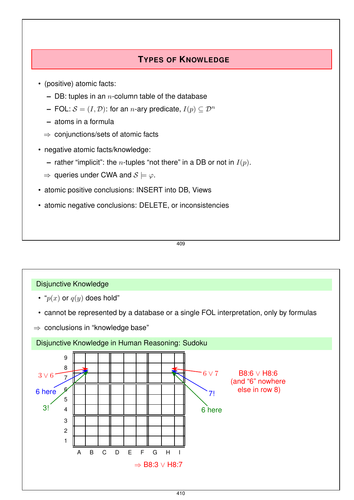## **TYPES OF KNOWLEDGE**

- (positive) atomic facts:
	- **–** DB: tuples in an n-column table of the database
	- **–** FOL:  $S = (I, D)$ : for an *n*-ary predicate,  $I(p) \subset \mathcal{D}^n$
	- **–** atoms in a formula
	- ⇒ conjunctions/sets of atomic facts
- negative atomic facts/knowledge:
	- **–** rather "implicit": the *n*-tuples "not there" in a DB or not in  $I(p)$ .
	- $\Rightarrow$  queries under CWA and  $S \models \varphi$ .
- atomic positive conclusions: INSERT into DB, Views
- atomic negative conclusions: DELETE, or inconsistencies

409

#### Disjunctive Knowledge

- " $p(x)$  or  $q(y)$  does hold"
- cannot be represented by a database or a single FOL interpretation, only by formulas
- $\Rightarrow$  conclusions in "knowledge base"